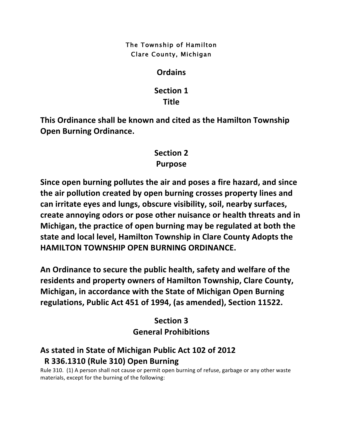#### The Township of Hamilton Clare County, Michigan

### **Ordains**

## **Section 1 Title**

This Ordinance shall be known and cited as the Hamilton Township **Open Burning Ordinance.** 

# **Section 2 Purpose**

**Since open burning pollutes the air and poses a fire hazard, and since** the air pollution created by open burning crosses property lines and can irritate eyes and lungs, obscure visibility, soil, nearby surfaces, create annoying odors or pose other nuisance or health threats and in **Michigan, the practice of open burning may be regulated at both the** state and local level, Hamilton Township in Clare County Adopts the **HAMILTON TOWNSHIP OPEN BURNING ORDINANCE.** 

An Ordinance to secure the public health, safety and welfare of the residents and property owners of Hamilton Township, Clare County, **Michigan, in accordance with the State of Michigan Open Burning** regulations, Public Act 451 of 1994, (as amended), Section 11522.

# **Section 3 General Prohibitions**

# As stated in State of Michigan Public Act 102 of 2012  **R 336.1310 (Rule 310) Open Burning**

Rule 310. (1) A person shall not cause or permit open burning of refuse, garbage or any other waste materials, except for the burning of the following: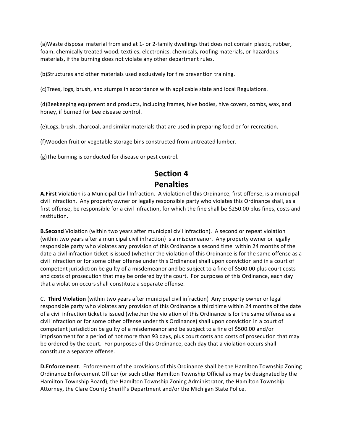(a)Waste disposal material from and at 1- or 2-family dwellings that does not contain plastic, rubber, foam, chemically treated wood, textiles, electronics, chemicals, roofing materials, or hazardous materials, if the burning does not violate any other department rules.

(b)Structures and other materials used exclusively for fire prevention training.

(c)Trees, logs, brush, and stumps in accordance with applicable state and local Regulations.

(d)Beekeeping equipment and products, including frames, hive bodies, hive covers, combs, wax, and honey, if burned for bee disease control.

(e)Logs, brush, charcoal, and similar materials that are used in preparing food or for recreation.

(f)Wooden fruit or vegetable storage bins constructed from untreated lumber.

(g)The burning is conducted for disease or pest control.

# **Section 4**

**Penalties**

**A.First** Violation is a Municipal Civil Infraction. A violation of this Ordinance, first offense, is a municipal civil infraction. Any property owner or legally responsible party who violates this Ordinance shall, as a first offense, be responsible for a civil infraction, for which the fine shall be \$250.00 plus fines, costs and restitution.

**B.Second** Violation (within two years after municipal civil infraction). A second or repeat violation (within two years after a municipal civil infraction) is a misdemeanor. Any property owner or legally responsible party who violates any provision of this Ordinance a second time within 24 months of the date a civil infraction ticket is issued (whether the violation of this Ordinance is for the same offense as a civil infraction or for some other offense under this Ordinance) shall upon conviction and in a court of competent jurisdiction be guilty of a misdemeanor and be subject to a fine of \$500.00 plus court costs and costs of prosecution that may be ordered by the court. For purposes of this Ordinance, each day that a violation occurs shall constitute a separate offense.

C. **Third Violation** (within two years after municipal civil infraction) Any property owner or legal responsible party who violates any provision of this Ordinance a third time within 24 months of the date of a civil infraction ticket is issued (whether the violation of this Ordinance is for the same offense as a civil infraction or for some other offense under this Ordinance) shall upon conviction in a court of competent jurisdiction be guilty of a misdemeanor and be subject to a fine of \$500.00 and/or imprisonment for a period of not more than 93 days, plus court costs and costs of prosecution that may be ordered by the court. For purposes of this Ordinance, each day that a violation occurs shall constitute a separate offense.

**D.Enforcement**. Enforcement of the provisions of this Ordinance shall be the Hamilton Township Zoning Ordinance Enforcement Officer (or such other Hamilton Township Official as may be designated by the Hamilton Township Board), the Hamilton Township Zoning Administrator, the Hamilton Township Attorney, the Clare County Sheriff's Department and/or the Michigan State Police.